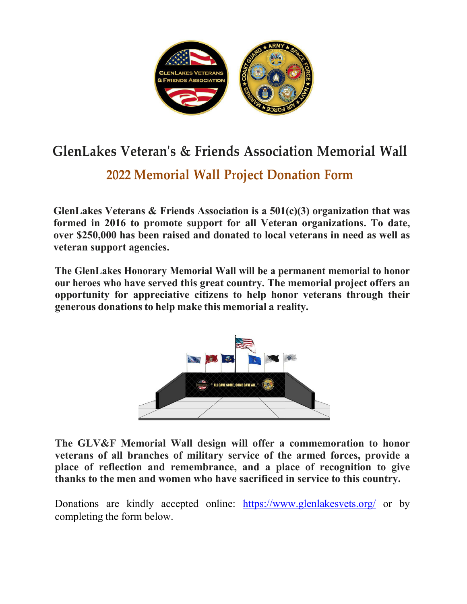

## **GlenLakes Veteran's & Friends Association Memorial Wall**

## **2022 Memorial Wall Project Donation Form**

**GlenLakes Veterans & Friends Association is a 501(c)(3) organization that was formed in 2016 to promote support for all Veteran organizations. To date, over \$250,000 has been raised and donated to local veterans in need as well as veteran support agencies.**

**The GlenLakes Honorary Memorial Wall will be a permanent memorial to honor our heroes who have served this great country. The memorial project offers an opportunity for appreciative citizens to help honor veterans through their generous donationsto help make this memorial a reality.**



**The GLV&F Memorial Wall design will offer a commemoration to honor veterans of all branches of military service of the armed forces, provide a place of reflection and remembrance, and a place of recognition to give thanks to the men and women who have sacrificed in service to this country.**

Donations are kindly accepted online: <https://www.glenlakesvets.org/> or by completing the form below.